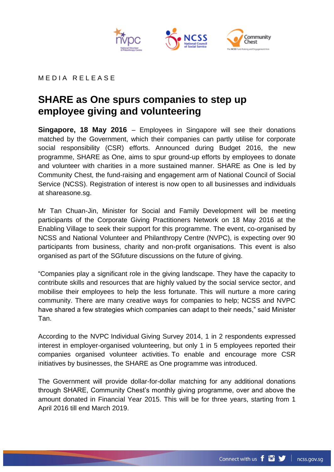

## MEDIA RELEASE

## **SHARE as One spurs companies to step up employee giving and volunteering**

**Singapore, 18 May 2016** – Employees in Singapore will see their donations matched by the Government, which their companies can partly utilise for corporate social responsibility (CSR) efforts. Announced during Budget 2016, the new programme, SHARE as One, aims to spur ground-up efforts by employees to donate and volunteer with charities in a more sustained manner. SHARE as One is led by Community Chest, the fund-raising and engagement arm of National Council of Social Service (NCSS). Registration of interest is now open to all businesses and individuals at shareasone.sg.

Mr Tan Chuan-Jin, Minister for Social and Family Development will be meeting participants of the Corporate Giving Practitioners Network on 18 May 2016 at the Enabling Village to seek their support for this programme. The event, co-organised by NCSS and National Volunteer and Philanthropy Centre (NVPC), is expecting over 90 participants from business, charity and non-profit organisations. This event is also organised as part of the SGfuture discussions on the future of giving.

"Companies play a significant role in the giving landscape. They have the capacity to contribute skills and resources that are highly valued by the social service sector, and mobilise their employees to help the less fortunate. This will nurture a more caring community. There are many creative ways for companies to help; NCSS and NVPC have shared a few strategies which companies can adapt to their needs," said Minister Tan.

According to the NVPC Individual Giving Survey 2014, 1 in 2 respondents expressed interest in employer-organised volunteering, but only 1 in 5 employees reported their companies organised volunteer activities. To enable and encourage more CSR initiatives by businesses, the SHARE as One programme was introduced.

The Government will provide dollar-for-dollar matching for any additional donations through SHARE, Community Chest's monthly giving programme, over and above the amount donated in Financial Year 2015. This will be for three years, starting from 1 April 2016 till end March 2019.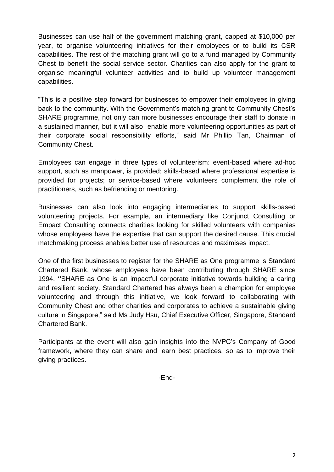Businesses can use half of the government matching grant, capped at \$10,000 per year, to organise volunteering initiatives for their employees or to build its CSR capabilities. The rest of the matching grant will go to a fund managed by Community Chest to benefit the social service sector. Charities can also apply for the grant to organise meaningful volunteer activities and to build up volunteer management capabilities.

"This is a positive step forward for businesses to empower their employees in giving back to the community. With the Government's matching grant to Community Chest's SHARE programme, not only can more businesses encourage their staff to donate in a sustained manner, but it will also enable more volunteering opportunities as part of their corporate social responsibility efforts," said Mr Phillip Tan, Chairman of Community Chest.

Employees can engage in three types of volunteerism: event-based where ad-hoc support, such as manpower, is provided; skills-based where professional expertise is provided for projects; or service-based where volunteers complement the role of practitioners, such as befriending or mentoring.

Businesses can also look into engaging intermediaries to support skills-based volunteering projects. For example, an intermediary like Conjunct Consulting or Empact Consulting connects charities looking for skilled volunteers with companies whose employees have the expertise that can support the desired cause. This crucial matchmaking process enables better use of resources and maximises impact.

One of the first businesses to register for the SHARE as One programme is Standard Chartered Bank, whose employees have been contributing through SHARE since 1994. **"**SHARE as One is an impactful corporate initiative towards building a caring and resilient society. Standard Chartered has always been a champion for employee volunteering and through this initiative, we look forward to collaborating with Community Chest and other charities and corporates to achieve a sustainable giving culture in Singapore," said Ms Judy Hsu, Chief Executive Officer, Singapore, Standard Chartered Bank.

Participants at the event will also gain insights into the NVPC's Company of Good framework, where they can share and learn best practices, so as to improve their giving practices.

-End-